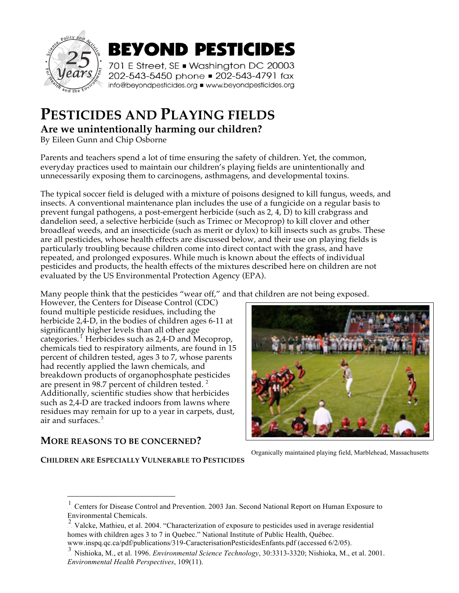

# **PESTICIDES AND PLAYING FIELDS**

**Are we unintentionally harming our children?**

By Eileen Gunn and Chip Osborne

Parents and teachers spend a lot of time ensuring the safety of children. Yet, the common, everyday practices used to maintain our children's playing fields are unintentionally and unnecessarily exposing them to carcinogens, asthmagens, and developmental toxins.

The typical soccer field is deluged with a mixture of poisons designed to kill fungus, weeds, and insects. A conventional maintenance plan includes the use of a fungicide on a regular basis to prevent fungal pathogens, a post-emergent herbicide (such as 2, 4, D) to kill crabgrass and dandelion seed, a selective herbicide (such as Trimec or Mecoprop) to kill clover and other broadleaf weeds, and an insecticide (such as merit or dylox) to kill insects such as grubs. These are all pesticides, whose health effects are discussed below, and their use on playing fields is particularly troubling because children come into direct contact with the grass, and have repeated, and prolonged exposures. While much is known about the effects of individual pesticides and products, the health effects of the mixtures described here on children are not evaluated by the US Environmental Protection Agency (EPA).

Many people think that the pesticides "wear off," and that children are not being exposed.

However, the Centers for Disease Control (CDC) found multiple pesticide residues, including the herbicide 2,4-D, in the bodies of children ages 6-11 at significantly higher levels than all other age categories.<sup>1</sup> Herbicides such as 2,4-D and Mecoprop, chemicals tied to respiratory ailments, are found in 15 percent of children tested, ages 3 to 7, whose parents had recently applied the lawn chemicals, and breakdown products of organophosphate pesticides are present in 98.7 percent of children tested. $^2$ Additionally, scientific studies show that herbicides such as 2,4-D are tracked indoors from lawns where residues may remain for up to a year in carpets, dust, air and surfaces. $3$ 

#### **MORE REASONS TO BE CONCERNED?**

 $\overline{a}$ 



Organically maintained playing field, Marblehead, Massachusetts

#### **CHILDREN ARE ESPECIALLY VULNERABLE TO PESTICIDES**

www.inspq.qc.ca/pdf/publications/319-CaracterisationPesticidesEnfants.pdf (accessed 6/2/05).

<sup>1</sup> Centers for Disease Control and Prevention. 2003 Jan. Second National Report on Human Exposure to Environmental Chemicals.

<sup>&</sup>lt;sup>2</sup>. Valcke, Mathieu, et al. 2004. "Characterization of exposure to pesticides used in average residential homes with children ages 3 to 7 in Quebec." National Institute of Public Health, Québec.

<sup>&</sup>lt;sup>3</sup> Nishioka, M., et al. 1996. *Environmental Science Technology*, 30:3313-3320; Nishioka, M., et al. 2001. *Environmental Health Perspectives*, 109(11).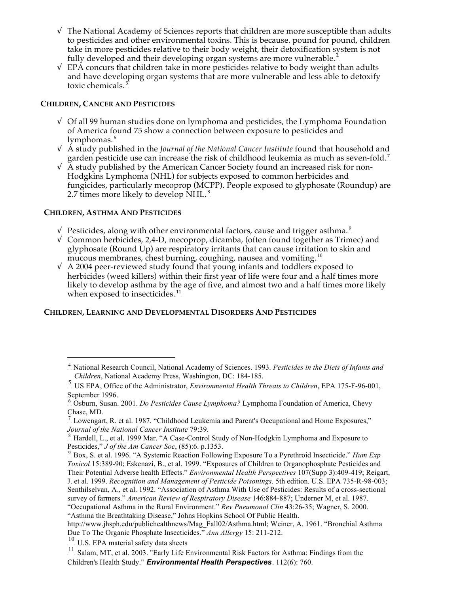- $\sqrt{\ }$  The National Academy of Sciences reports that children are more susceptible than adults to pesticides and other environmental toxins. This is because. pound for pound, children take in more pesticides relative to their body weight, their detoxification system is not fully developed and their developing organ systems are more vulnerable.<sup>4</sup>
- $\sqrt{FPA}$  concurs that children take in more pesticides relative to body weight than adults and have developing organ systems that are more vulnerable and less able to detoxify toxic chemicals.<sup>5</sup>

#### **CHILDREN, CANCER AND PESTICIDES**

- $\sqrt{\frac{1}{1}}$  Of all 99 human studies done on lymphoma and pesticides, the Lymphoma Foundation of America found 75 show a connection between exposure to pesticides and lymphomas.  $\raisebox{.5pt}{\scriptsize$\circ$}$
- √ A study published in the *Journal of the National Cancer Institute* found that household and garden pesticide use can increase the risk of childhood leukemia as much as seven-fold.<sup>7</sup>
- $\sqrt{\overline{A}}$  study published by the American Cancer Society found an increased risk for non-Hodgkins Lymphoma (NHL) for subjects exposed to common herbicides and fungicides, particularly mecoprop (MCPP). People exposed to glyphosate (Roundup) are 2.7 times more likely to develop  $\text{NHL}$ .<sup>8</sup>

#### **CHILDREN, ASTHMA AND PESTICIDES**

 $\overline{a}$ 

- $\sqrt{\phantom{a}}$  Pesticides, along with other environmental factors, cause and trigger asthma. $^{\circ}$
- √ Common herbicides, 2,4-D, mecoprop, dicamba, (often found together as Trimec) and glyphosate (Round Up) are respiratory irritants that can cause irritation to skin and mucous membranes, chest burning, coughing, nausea and vomiting.<sup>10</sup>
- $\sqrt{4}$  A 2004 peer-reviewed study found that young infants and toddlers exposed to herbicides (weed killers) within their first year of life were four and a half times more likely to develop asthma by the age of five, and almost two and a half times more likely when exposed to insecticides. $^{11}$

#### **CHILDREN, LEARNING AND DEVELOPMENTAL DISORDERS AND PESTICIDES**

<sup>&</sup>lt;sup>4</sup>. National Research Council, National Academy of Sciences. 1993. Pesticides in the Diets of Infants and *Children*, National Academy Press, Washington, DC: 184-185.

<sup>&</sup>lt;sup>5</sup> US EPA, Office of the Administrator, *Environmental Health Threats to Children*, EPA 175-F-96-001, September 1996.

<sup>&</sup>lt;sup>6</sup> Osburn, Susan. 2001. *Do Pesticides Cause Lymphoma?* Lymphoma Foundation of America, Chevy Chase, MD.

 $\frac{7}{1}$  Lowengart, R. et al. 1987. "Childhood Leukemia and Parent's Occupational and Home Exposures," *Journal of the National Cancer Institute* 79:39.

<sup>&</sup>lt;sup>8</sup>. Hardell, L., et al. 1999 Mar. "A Case-Control Study of Non-Hodgkin Lymphoma and Exposure to Pesticides," *J of the Am Cancer Soc*, (85):6. p.1353.

<sup>&</sup>lt;sup>9</sup> Box, S. et al. 1996. "A Systemic Reaction Following Exposure To a Pyrethroid Insecticide." *Hum Exp Toxicol* 15:389-90; Eskenazi, B., et al. 1999. "Exposures of Children to Organophosphate Pesticides and Their Potential Adverse health Effects." *Environmental Health Perspectives* 107(Supp 3):409-419; Reigart, J. et al. 1999. *Recognition and Management of Pesticide Poisonings*. 5th edition. U.S. EPA 735-R-98-003; Senthilselvan, A., et al. 1992. "Association of Asthma With Use of Pesticides: Results of a cross-sectional survey of farmers." *American Review of Respiratory Disease* 146:884-887; Underner M, et al. 1987. "Occupational Asthma in the Rural Environment." *Rev Pneumonol Clin* 43:26-35; Wagner, S. 2000. "Asthma the Breathtaking Disease," Johns Hopkins School Of Public Health.

http://www.jhsph.edu/publichealthnews/Mag\_Fall02/Asthma.html; Weiner, A. 1961. "Bronchial Asthma Due To The Organic Phosphate Insecticides." *Ann Allergy* 15: 211-212.

 $10$  U.S. EPA material safety data sheets

<sup>&</sup>lt;sup>11</sup>. Salam, MT, et al. 2003. "Early Life Environmental Risk Factors for Asthma: Findings from the Children's Health Study." **Environmental Health Perspectives**. 112(6): 760.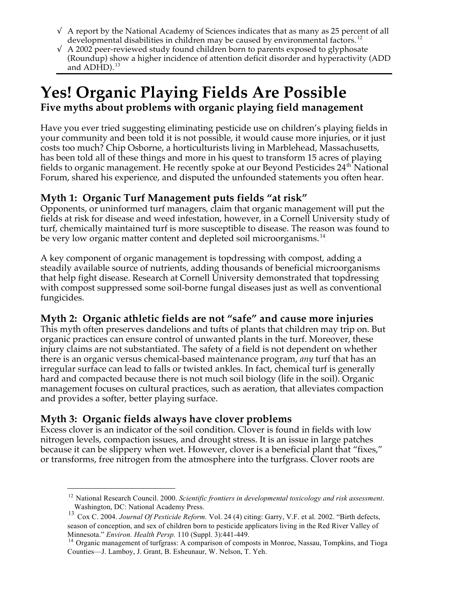- $\sqrt{ }$  A report by the National Academy of Sciences indicates that as many as 25 percent of all developmental disabilities in children may be caused by environmental factors.<sup>12</sup>
- $\sqrt{4}$  A 2002 peer-reviewed study found children born to parents exposed to glyphosate (Roundup) show a higher incidence of attention deficit disorder and hyperactivity (ADD and  $ADHD$ ).  $^{13}$

## **Yes! Organic Playing Fields Are Possible Five myths about problems with organic playing field management**

Have you ever tried suggesting eliminating pesticide use on children's playing fields in your community and been told it is not possible, it would cause more injuries, or it just costs too much? Chip Osborne, a horticulturists living in Marblehead, Massachusetts, has been told all of these things and more in his quest to transform 15 acres of playing fields to organic management. He recently spoke at our Beyond Pesticides 24<sup>th</sup> National Forum, shared his experience, and disputed the unfounded statements you often hear.

### **Myth 1: Organic Turf Management puts fields "at risk"**

Opponents, or uninformed turf managers, claim that organic management will put the fields at risk for disease and weed infestation, however, in a Cornell University study of turf, chemically maintained turf is more susceptible to disease. The reason was found to be very low organic matter content and depleted soil microorganisms.<sup>14</sup>

A key component of organic management is topdressing with compost, adding a steadily available source of nutrients, adding thousands of beneficial microorganisms that help fight disease. Research at Cornell University demonstrated that topdressing with compost suppressed some soil-borne fungal diseases just as well as conventional fungicides.

## **Myth 2: Organic athletic fields are not "safe" and cause more injuries**

This myth often preserves dandelions and tufts of plants that children may trip on. But organic practices can ensure control of unwanted plants in the turf. Moreover, these injury claims are not substantiated. The safety of a field is not dependent on whether there is an organic versus chemical-based maintenance program, *any* turf that has an irregular surface can lead to falls or twisted ankles. In fact, chemical turf is generally hard and compacted because there is not much soil biology (life in the soil). Organic management focuses on cultural practices, such as aeration, that alleviates compaction and provides a softer, better playing surface.

### **Myth 3: Organic fields always have clover problems**

 $\overline{a}$ 

Excess clover is an indicator of the soil condition. Clover is found in fields with low nitrogen levels, compaction issues, and drought stress. It is an issue in large patches because it can be slippery when wet. However, clover is a beneficial plant that "fixes," or transforms, free nitrogen from the atmosphere into the turfgrass. Clover roots are

<sup>&</sup>lt;sup>12</sup>. National Research Council. 2000. *Scientific frontiers in developmental toxicology and risk assessment*. Washington, DC: National Academy Press.

<sup>&</sup>lt;sup>13</sup>. Cox C. 2004. *Journal Of Pesticide Reform.* Vol. 24 (4) citing: Garry, V.F. et al. 2002. "Birth defects, season of conception, and sex of children born to pesticide applicators living in the Red River Valley of Minnesota." *Environ. Health Persp.* 110 (Suppl. 3):441-449.

<sup>&</sup>lt;sup>14</sup>. Organic management of turfgrass: A comparison of composts in Monroe, Nassau, Tompkins, and Tioga Counties—J. Lamboy, J. Grant, B. Esheunaur, W. Nelson, T. Yeh.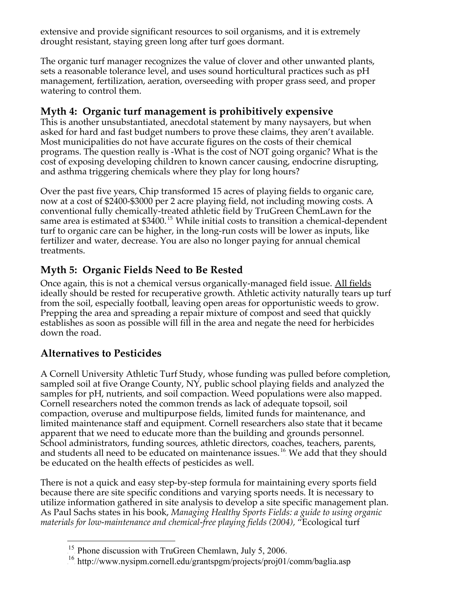extensive and provide significant resources to soil organisms, and it is extremely drought resistant, staying green long after turf goes dormant.

The organic turf manager recognizes the value of clover and other unwanted plants, sets a reasonable tolerance level, and uses sound horticultural practices such as pH management, fertilization, aeration, overseeding with proper grass seed, and proper watering to control them.

### **Myth 4: Organic turf management is prohibitively expensive**

This is another unsubstantiated, anecdotal statement by many naysayers, but when asked for hard and fast budget numbers to prove these claims, they aren't available. Most municipalities do not have accurate figures on the costs of their chemical programs. The question really is -What is the cost of NOT going organic? What is the cost of exposing developing children to known cancer causing, endocrine disrupting, and asthma triggering chemicals where they play for long hours?

Over the past five years, Chip transformed 15 acres of playing fields to organic care, now at a cost of \$2400-\$3000 per 2 acre playing field, not including mowing costs. A conventional fully chemically-treated athletic field by TruGreen ChemLawn for the same area is estimated at  $$3400.<sup>15</sup>$  While initial costs to transition a chemical-dependent turf to organic care can be higher, in the long-run costs will be lower as inputs, like fertilizer and water, decrease. You are also no longer paying for annual chemical treatments.

## **Myth 5: Organic Fields Need to Be Rested**

Once again, this is not a chemical versus organically-managed field issue. All fields ideally should be rested for recuperative growth. Athletic activity naturally tears up turf from the soil, especially football, leaving open areas for opportunistic weeds to grow. Prepping the area and spreading a repair mixture of compost and seed that quickly establishes as soon as possible will fill in the area and negate the need for herbicides down the road.

## **Alternatives to Pesticides**

A Cornell University Athletic Turf Study, whose funding was pulled before completion, sampled soil at five Orange County, NY, public school playing fields and analyzed the samples for pH, nutrients, and soil compaction. Weed populations were also mapped. Cornell researchers noted the common trends as lack of adequate topsoil, soil compaction, overuse and multipurpose fields, limited funds for maintenance, and limited maintenance staff and equipment. Cornell researchers also state that it became apparent that we need to educate more than the building and grounds personnel. School administrators, funding sources, athletic directors, coaches, teachers, parents, and students all need to be educated on maintenance issues.<sup>16</sup> We add that they should be educated on the health effects of pesticides as well.

There is not a quick and easy step-by-step formula for maintaining every sports field because there are site specific conditions and varying sports needs. It is necessary to utilize information gathered in site analysis to develop a site specific management plan. As Paul Sachs states in his book, *Managing Healthy Sports Fields: a guide to using organic materials for low-maintenance and chemical-free playing fields (2004),* "Ecological turf

 $\overline{a}$ <sup>15</sup>. Phone discussion with TruGreen Chemlawn, July 5, 2006.

<sup>&</sup>lt;sup>16</sup>. http://www.nysipm.cornell.edu/grantspgm/projects/proj01/comm/baglia.asp